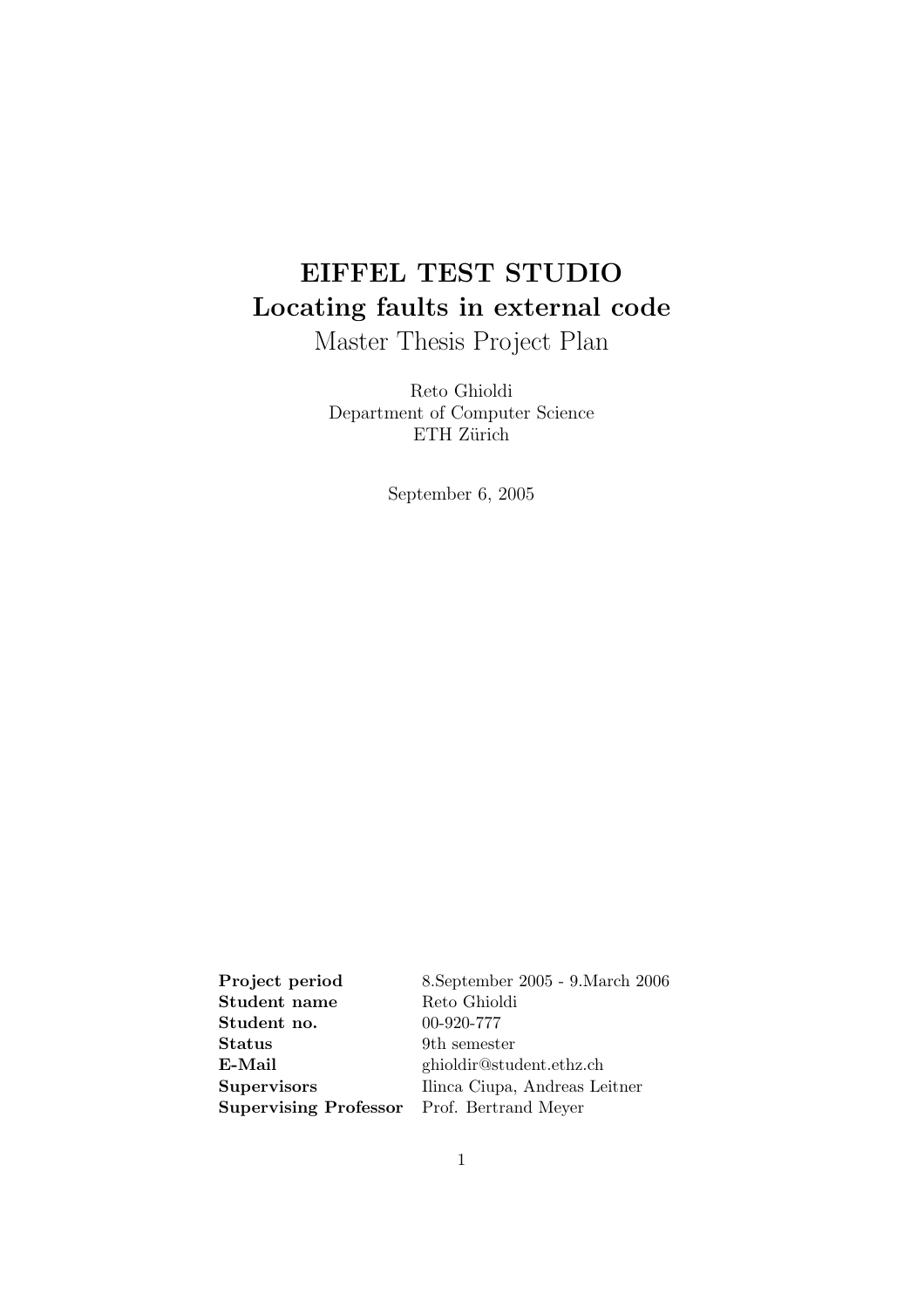# EIFFEL TEST STUDIO Locating faults in external code

Master Thesis Project Plan

Reto Ghioldi Department of Computer Science ETH Zürich

September 6, 2005

Project period 8.September 2005 - 9.March 2006 Student name Reto Ghioldi Student no. 00-920-777 Status 9th semester E-Mail ghioldir@student.ethz.ch Supervisors Ilinca Ciupa, Andreas Leitner Supervising Professor Prof. Bertrand Meyer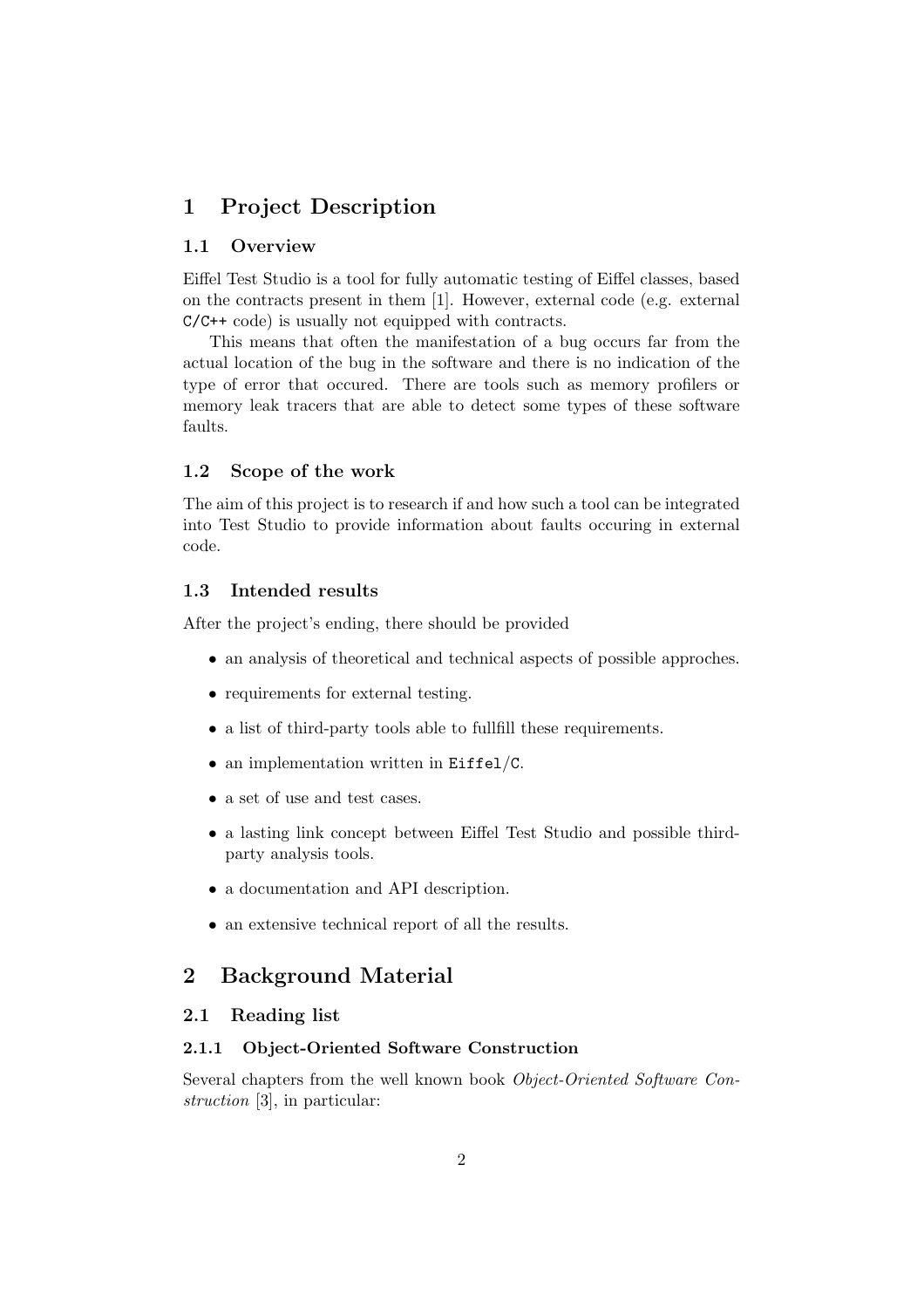# 1 Project Description

#### 1.1 Overview

Eiffel Test Studio is a tool for fully automatic testing of Eiffel classes, based on the contracts present in them [1]. However, external code (e.g. external C/C++ code) is usually not equipped with contracts.

This means that often the manifestation of a bug occurs far from the actual location of the bug in the software and there is no indication of the type of error that occured. There are tools such as memory profilers or memory leak tracers that are able to detect some types of these software faults.

#### 1.2 Scope of the work

The aim of this project is to research if and how such a tool can be integrated into Test Studio to provide information about faults occuring in external code.

#### 1.3 Intended results

After the project's ending, there should be provided

- an analysis of theoretical and technical aspects of possible approches.
- requirements for external testing.
- a list of third-party tools able to fullfill these requirements.
- an implementation written in Eiffel/C.
- a set of use and test cases.
- a lasting link concept between Eiffel Test Studio and possible thirdparty analysis tools.
- a documentation and API description.
- an extensive technical report of all the results.

## 2 Background Material

#### 2.1 Reading list

#### 2.1.1 Object-Oriented Software Construction

Several chapters from the well known book Object-Oriented Software Construction [3], in particular: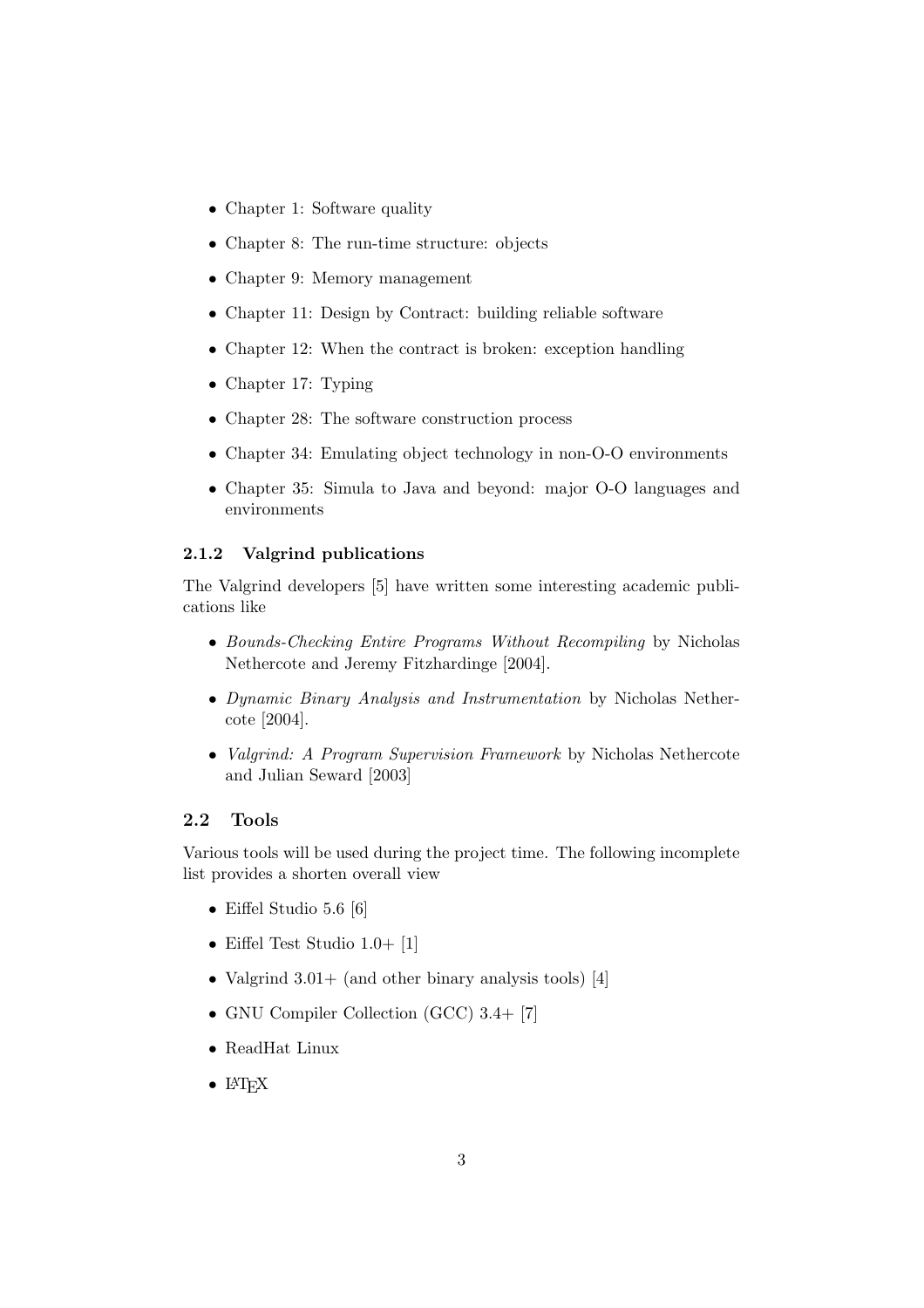- Chapter 1: Software quality
- Chapter 8: The run-time structure: objects
- Chapter 9: Memory management
- Chapter 11: Design by Contract: building reliable software
- Chapter 12: When the contract is broken: exception handling
- Chapter 17: Typing
- Chapter 28: The software construction process
- Chapter 34: Emulating object technology in non-O-O environments
- Chapter 35: Simula to Java and beyond: major O-O languages and environments

#### 2.1.2 Valgrind publications

The Valgrind developers [5] have written some interesting academic publications like

- Bounds-Checking Entire Programs Without Recompiling by Nicholas Nethercote and Jeremy Fitzhardinge [2004].
- Dynamic Binary Analysis and Instrumentation by Nicholas Nethercote [2004].
- *Valgrind: A Program Supervision Framework* by Nicholas Nethercote and Julian Seward [2003]

#### 2.2 Tools

Various tools will be used during the project time. The following incomplete list provides a shorten overall view

- Eiffel Studio 5.6 [6]
- Eiffel Test Studio 1.0+ [1]
- Valgrind  $3.01+$  (and other binary analysis tools) [4]
- GNU Compiler Collection (GCC) 3.4+ [7]
- ReadHat Linux
- $\bullet$  LAT<sub>F</sub>X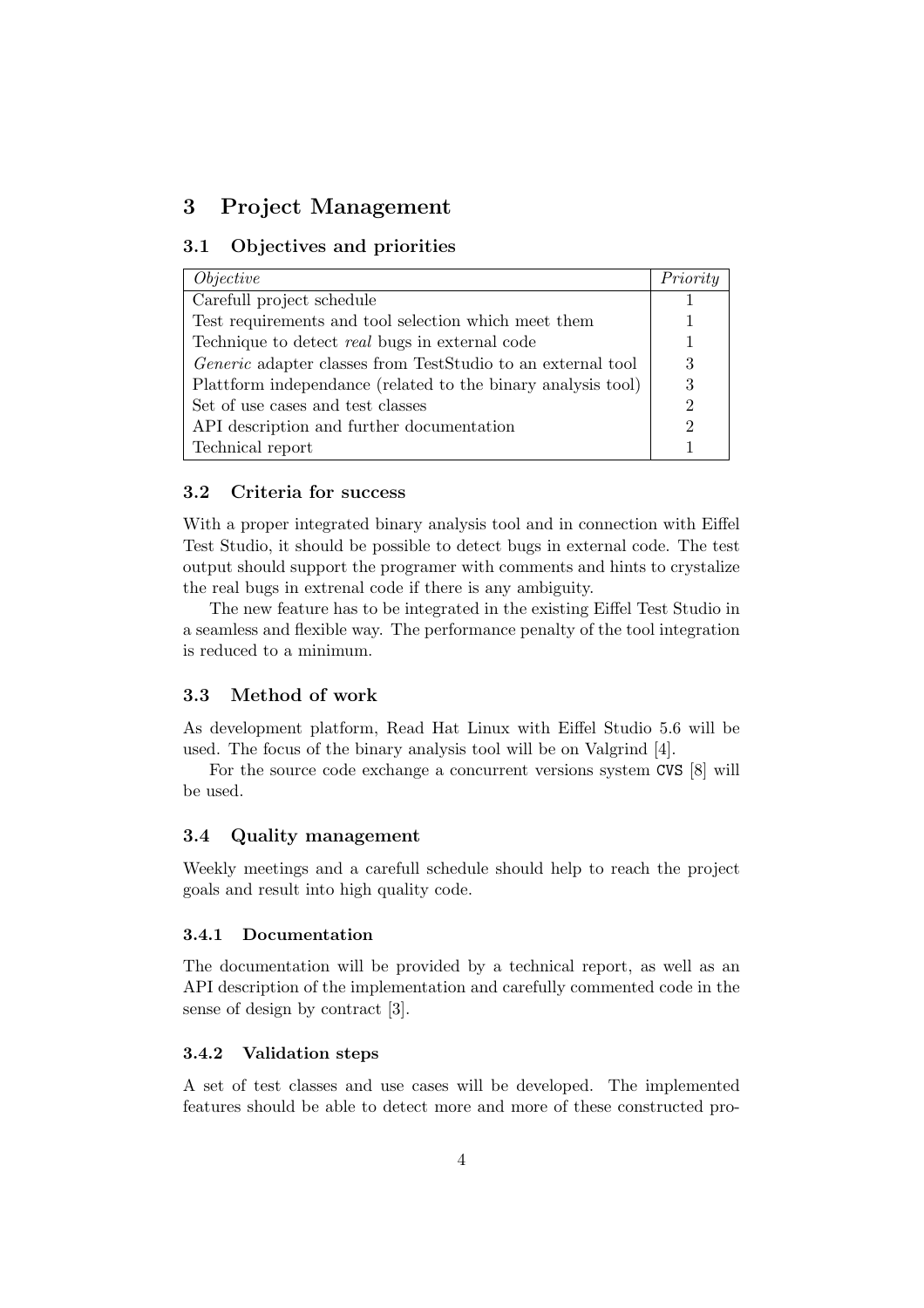# 3 Project Management

#### 3.1 Objectives and priorities

| <i>Objective</i>                                             | Priority |
|--------------------------------------------------------------|----------|
| Carefull project schedule                                    |          |
| Test requirements and tool selection which meet them         |          |
| Technique to detect <i>real</i> bugs in external code        |          |
| Generic adapter classes from TestStudio to an external tool  | 3        |
| Plattform independance (related to the binary analysis tool) | 3        |
| Set of use cases and test classes                            |          |
| API description and further documentation                    |          |
| Technical report                                             |          |

#### 3.2 Criteria for success

With a proper integrated binary analysis tool and in connection with Eiffel Test Studio, it should be possible to detect bugs in external code. The test output should support the programer with comments and hints to crystalize the real bugs in extrenal code if there is any ambiguity.

The new feature has to be integrated in the existing Eiffel Test Studio in a seamless and flexible way. The performance penalty of the tool integration is reduced to a minimum.

#### 3.3 Method of work

As development platform, Read Hat Linux with Eiffel Studio 5.6 will be used. The focus of the binary analysis tool will be on Valgrind [4].

For the source code exchange a concurrent versions system CVS [8] will be used.

#### 3.4 Quality management

Weekly meetings and a carefull schedule should help to reach the project goals and result into high quality code.

#### 3.4.1 Documentation

The documentation will be provided by a technical report, as well as an API description of the implementation and carefully commented code in the sense of design by contract [3].

#### 3.4.2 Validation steps

A set of test classes and use cases will be developed. The implemented features should be able to detect more and more of these constructed pro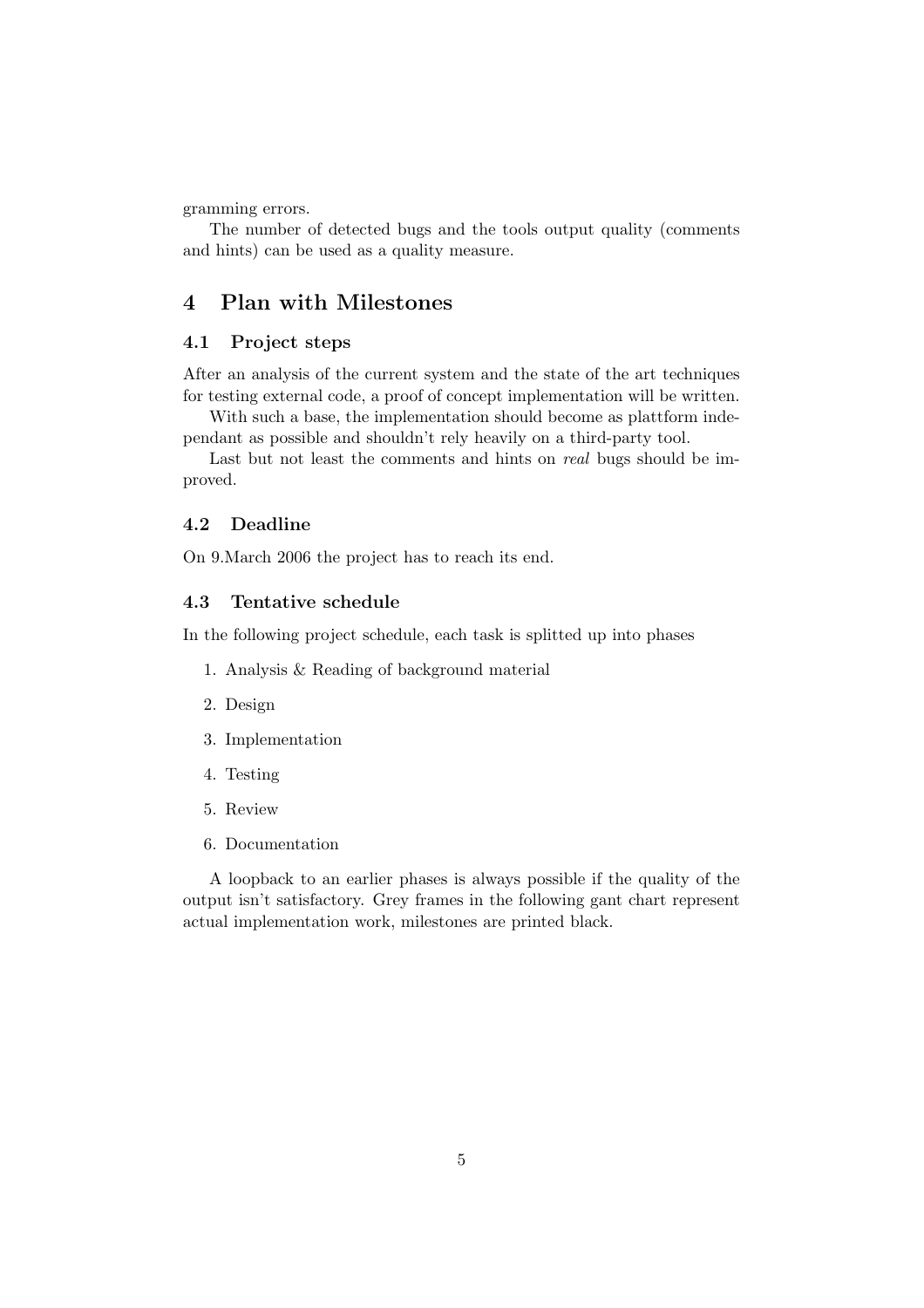gramming errors.

The number of detected bugs and the tools output quality (comments and hints) can be used as a quality measure.

# 4 Plan with Milestones

### 4.1 Project steps

After an analysis of the current system and the state of the art techniques for testing external code, a proof of concept implementation will be written.

With such a base, the implementation should become as plattform independant as possible and shouldn't rely heavily on a third-party tool.

Last but not least the comments and hints on real bugs should be improved.

#### 4.2 Deadline

On 9.March 2006 the project has to reach its end.

#### 4.3 Tentative schedule

In the following project schedule, each task is splitted up into phases

- 1. Analysis & Reading of background material
- 2. Design
- 3. Implementation
- 4. Testing
- 5. Review
- 6. Documentation

A loopback to an earlier phases is always possible if the quality of the output isn't satisfactory. Grey frames in the following gant chart represent actual implementation work, milestones are printed black.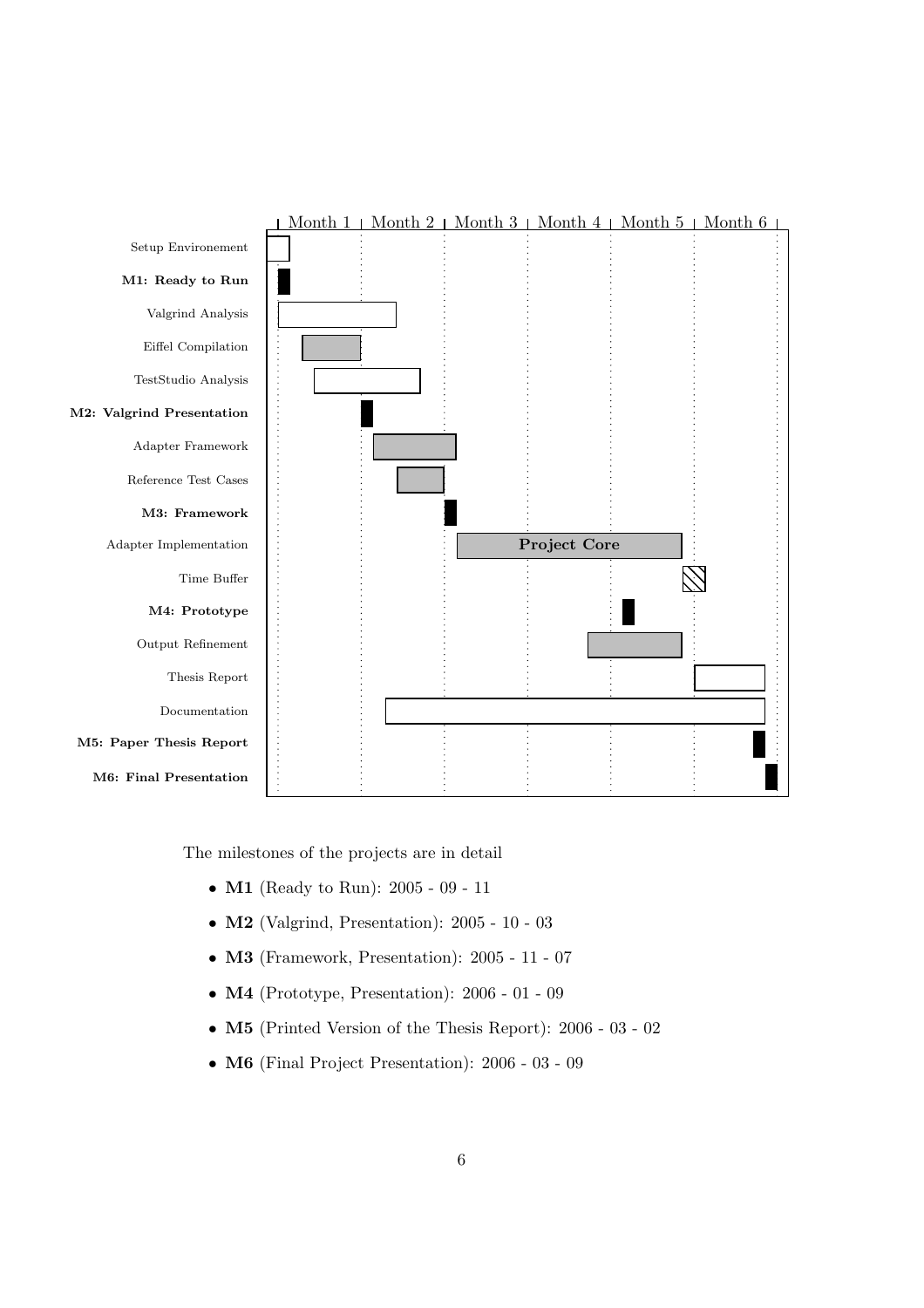

The milestones of the projects are in detail

- **M1** (Ready to Run): 2005 09 11
- M2 (Valgrind, Presentation): 2005 10 03
- M3 (Framework, Presentation): 2005 11 07
- M4 (Prototype, Presentation): 2006 01 09
- M5 (Printed Version of the Thesis Report): 2006 03 02
- M6 (Final Project Presentation): 2006 03 09